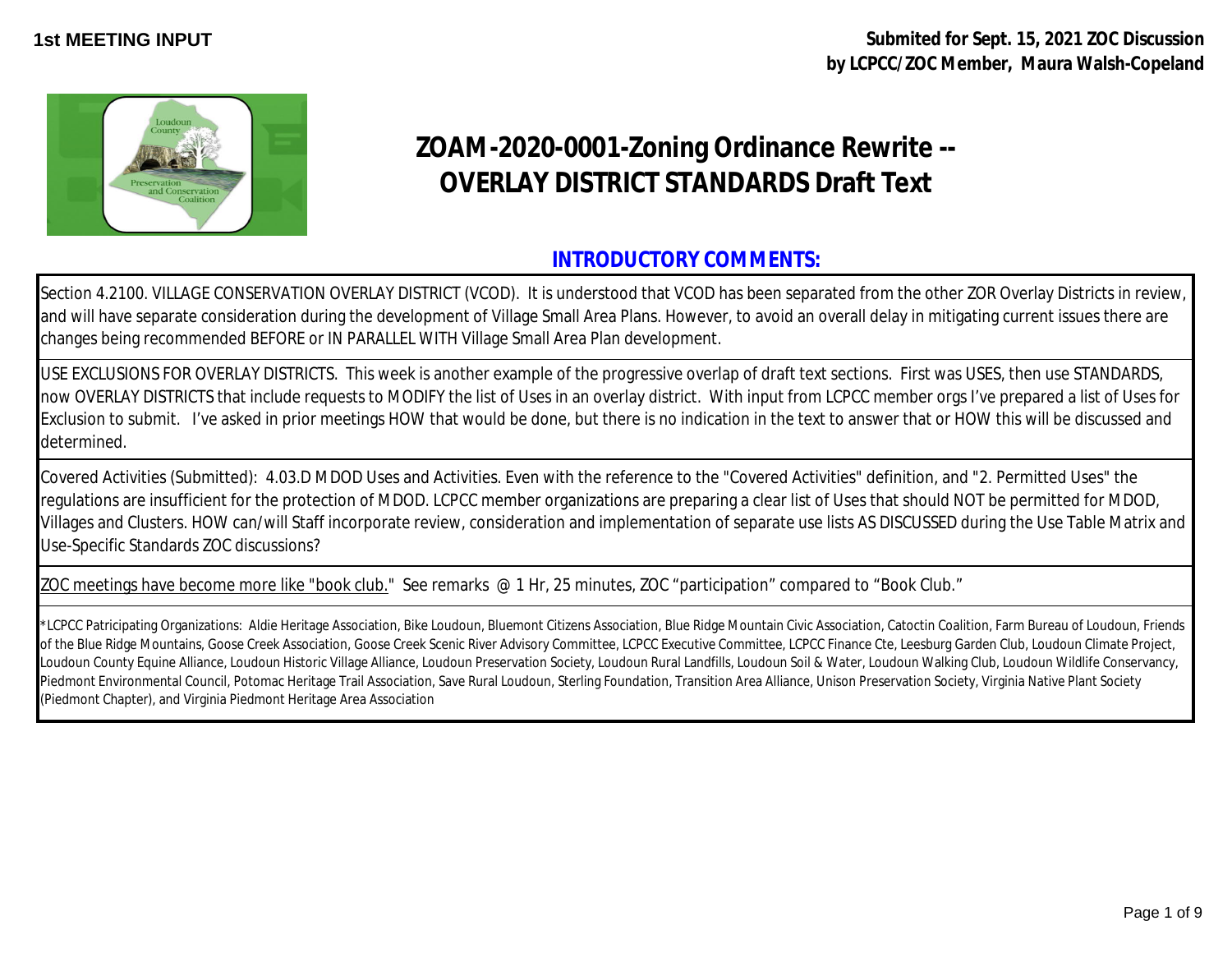**1st MEETING INPUT Submited for Sept. 15, 2021 ZOC Discussion by LCPCC/ZOC Member, Maura Walsh-Copeland**



## **ZOAM-2020-0001-Zoning Ordinance Rewrite -- OVERLAY DISTRICT STANDARDS Draft Text**

## **INTRODUCTORY COMMENTS:**

Section 4.2100. VILLAGE CONSERVATION OVERLAY DISTRICT (VCOD). It is understood that VCOD has been separated from the other ZOR Overlay Districts in review, and will have separate consideration during the development of Village Small Area Plans. However, to avoid an overall delay in mitigating current issues there are changes being recommended BEFORE or IN PARALLEL WITH Village Small Area Plan development.

USE EXCLUSIONS FOR OVERLAY DISTRICTS. This week is another example of the progressive overlap of draft text sections. First was USES, then use STANDARDS, now OVERLAY DISTRICTS that include requests to MODIFY the list of Uses in an overlay district. With input from LCPCC member orgs I've prepared a list of Uses for Exclusion to submit. I've asked in prior meetings HOW that would be done, but there is no indication in the text to answer that or HOW this will be discussed and determined.

Covered Activities (Submitted): 4.03.D MDOD Uses and Activities. Even with the reference to the "Covered Activities" definition, and "2. Permitted Uses" the regulations are insufficient for the protection of MDOD. LCPCC member organizations are preparing a clear list of Uses that should NOT be permitted for MDOD, Villages and Clusters. HOW can/will Staff incorporate review, consideration and implementation of separate use lists AS DISCUSSED during the Use Table Matrix and Use-Specific Standards ZOC discussions?

ZOC meetings have become more like "book club." See remarks @ 1 Hr, 25 minutes, ZOC "participation" compared to "Book Club."

\*LCPCC Patricipating Organizations: Aldie Heritage Association, Bike Loudoun, Bluemont Citizens Association, Blue Ridge Mountain Civic Association, Catoctin Coalition, Farm Bureau of Loudoun, Friends of the Blue Ridge Mountains, Goose Creek Association, Goose Creek Scenic River Advisory Committee, LCPCC Executive Committee, LCPCC Finance Cte, Leesburg Garden Club, Loudoun Climate Project, Loudoun County Equine Alliance, Loudoun Historic Village Alliance, Loudoun Preservation Society, Loudoun Rural Landfills, Loudoun Soil & Water, Loudoun Walking Club, Loudoun Wildlife Conservancy, Piedmont Environmental Council, Potomac Heritage Trail Association, Save Rural Loudoun, Sterling Foundation, Transition Area Alliance, Unison Preservation Society, Virginia Native Plant Society (Piedmont Chapter), and Virginia Piedmont Heritage Area Association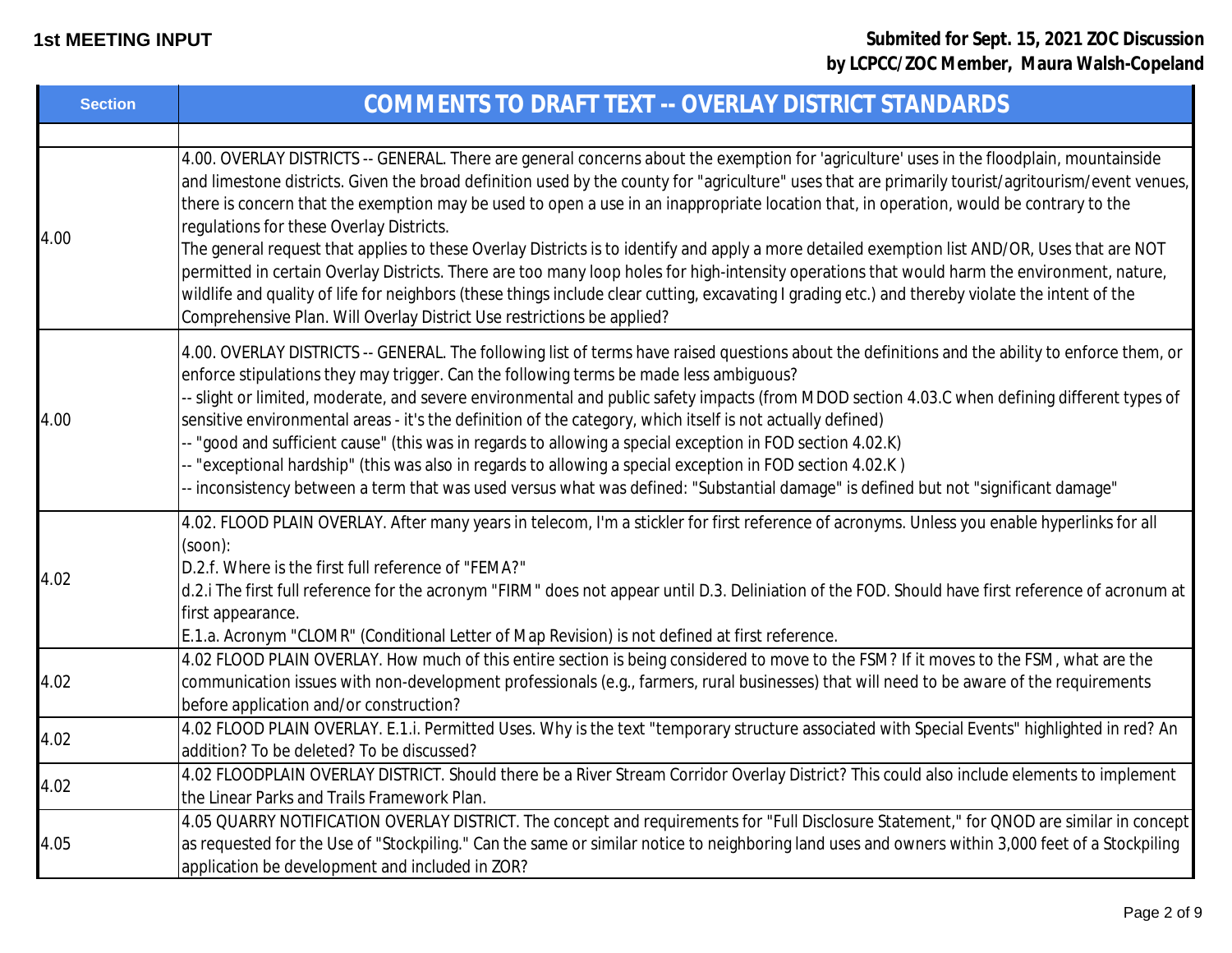| <b>Section</b> | COMMENTS TO DRAFT TEXT -- OVERLAY DISTRICT STANDARDS                                                                                                                                                                                                                                                                                                                                                                                                                                                                                                                                                                                                                                                                                                                                                                                                                                                                                                                                                                  |
|----------------|-----------------------------------------------------------------------------------------------------------------------------------------------------------------------------------------------------------------------------------------------------------------------------------------------------------------------------------------------------------------------------------------------------------------------------------------------------------------------------------------------------------------------------------------------------------------------------------------------------------------------------------------------------------------------------------------------------------------------------------------------------------------------------------------------------------------------------------------------------------------------------------------------------------------------------------------------------------------------------------------------------------------------|
| 4.00           | 4.00. OVERLAY DISTRICTS -- GENERAL. There are general concerns about the exemption for 'agriculture' uses in the floodplain, mountainside<br>and limestone districts. Given the broad definition used by the county for "agriculture" uses that are primarily tourist/agritourism/event venues,<br>there is concern that the exemption may be used to open a use in an inappropriate location that, in operation, would be contrary to the<br>regulations for these Overlay Districts.<br>The general request that applies to these Overlay Districts is to identify and apply a more detailed exemption list AND/OR, Uses that are NOT<br>permitted in certain Overlay Districts. There are too many loop holes for high-intensity operations that would harm the environment, nature,<br>wildlife and quality of life for neighbors (these things include clear cutting, excavating I grading etc.) and thereby violate the intent of the<br>Comprehensive Plan. Will Overlay District Use restrictions be applied? |
| 4.00           | 4.00. OVERLAY DISTRICTS -- GENERAL. The following list of terms have raised questions about the definitions and the ability to enforce them, or<br>enforce stipulations they may trigger. Can the following terms be made less ambiguous?<br>-- slight or limited, moderate, and severe environmental and public safety impacts (from MDOD section 4.03.C when defining different types of<br>sensitive environmental areas - it's the definition of the category, which itself is not actually defined)<br>-- "good and sufficient cause" (this was in regards to allowing a special exception in FOD section 4.02.K)<br>-- "exceptional hardship" (this was also in regards to allowing a special exception in FOD section 4.02.K)<br>-- inconsistency between a term that was used versus what was defined: "Substantial damage" is defined but not "significant damage"                                                                                                                                           |
| 4.02           | 4.02. FLOOD PLAIN OVERLAY. After many years in telecom, I'm a stickler for first reference of acronyms. Unless you enable hyperlinks for all<br>$(soon)$ :<br>D.2.f. Where is the first full reference of "FEMA?"<br>d.2.i The first full reference for the acronym "FIRM" does not appear until D.3. Deliniation of the FOD. Should have first reference of acronum at<br>first appearance.<br>E.1.a. Acronym "CLOMR" (Conditional Letter of Map Revision) is not defined at first reference.                                                                                                                                                                                                                                                                                                                                                                                                                                                                                                                        |
| 4.02           | 4.02 FLOOD PLAIN OVERLAY. How much of this entire section is being considered to move to the FSM? If it moves to the FSM, what are the<br>communication issues with non-development professionals (e.g., farmers, rural businesses) that will need to be aware of the requirements<br>before application and/or construction?                                                                                                                                                                                                                                                                                                                                                                                                                                                                                                                                                                                                                                                                                         |
| 4.02           | 4.02 FLOOD PLAIN OVERLAY. E.1.i. Permitted Uses. Why is the text "temporary structure associated with Special Events" highlighted in red? An<br>addition? To be deleted? To be discussed?                                                                                                                                                                                                                                                                                                                                                                                                                                                                                                                                                                                                                                                                                                                                                                                                                             |
| 4.02           | 4.02 FLOODPLAIN OVERLAY DISTRICT. Should there be a River Stream Corridor Overlay District? This could also include elements to implement<br>the Linear Parks and Trails Framework Plan.                                                                                                                                                                                                                                                                                                                                                                                                                                                                                                                                                                                                                                                                                                                                                                                                                              |
| 4.05           | 4.05 QUARRY NOTIFICATION OVERLAY DISTRICT. The concept and requirements for "Full Disclosure Statement," for QNOD are similar in concept<br>as requested for the Use of "Stockpiling." Can the same or similar notice to neighboring land uses and owners within 3,000 feet of a Stockpiling<br>application be development and included in ZOR?                                                                                                                                                                                                                                                                                                                                                                                                                                                                                                                                                                                                                                                                       |
|                |                                                                                                                                                                                                                                                                                                                                                                                                                                                                                                                                                                                                                                                                                                                                                                                                                                                                                                                                                                                                                       |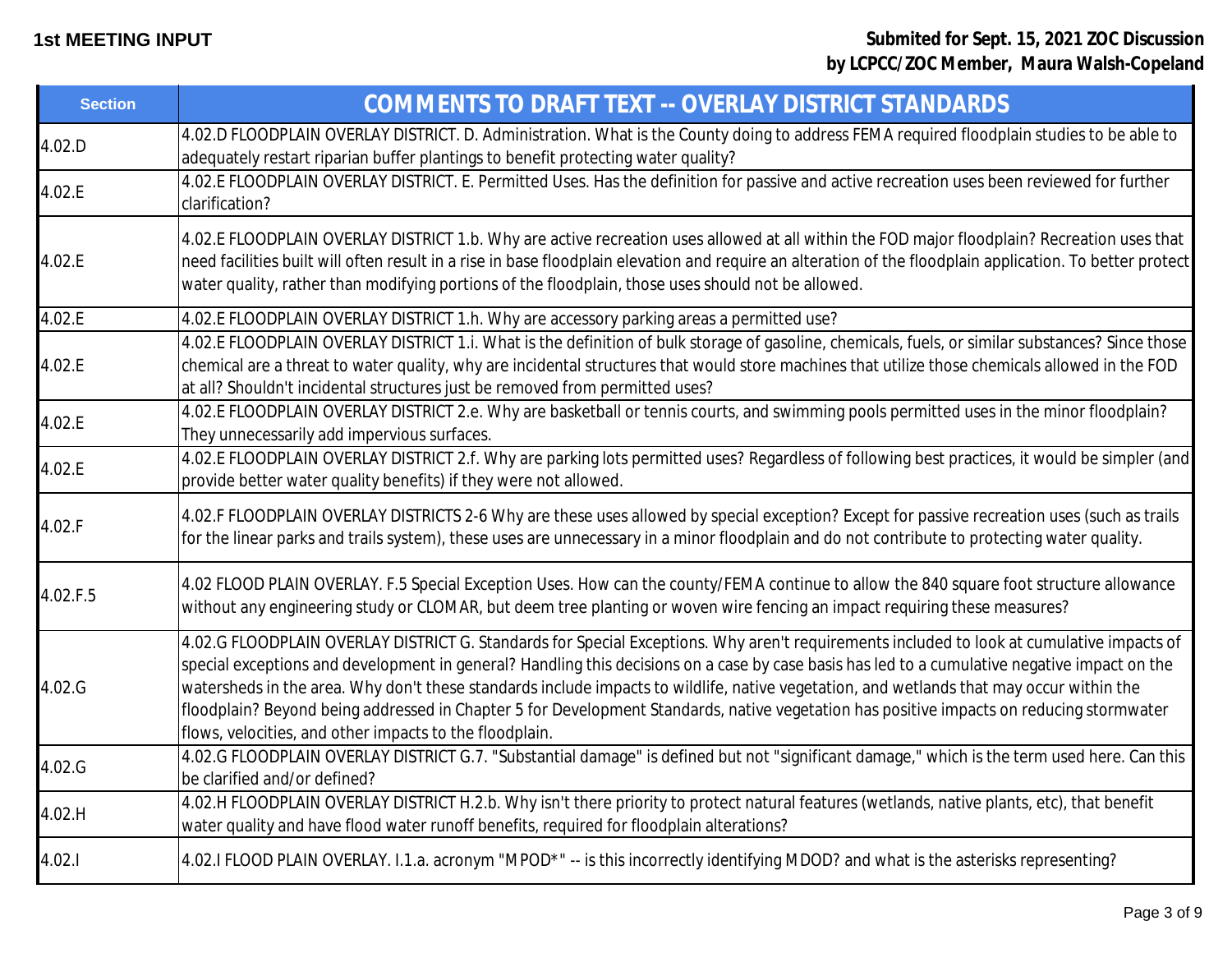| <b>Section</b> | COMMENTS TO DRAFT TEXT -- OVERLAY DISTRICT STANDARDS                                                                                                                                                                                                                                                                                                                                                                                                                                                                                                                                                                                          |
|----------------|-----------------------------------------------------------------------------------------------------------------------------------------------------------------------------------------------------------------------------------------------------------------------------------------------------------------------------------------------------------------------------------------------------------------------------------------------------------------------------------------------------------------------------------------------------------------------------------------------------------------------------------------------|
| 4.02.D         | 4.02.D FLOODPLAIN OVERLAY DISTRICT. D. Administration. What is the County doing to address FEMA required floodplain studies to be able to<br>adequately restart riparian buffer plantings to benefit protecting water quality?                                                                                                                                                                                                                                                                                                                                                                                                                |
| 4.02.E         | 4.02.E FLOODPLAIN OVERLAY DISTRICT. E. Permitted Uses. Has the definition for passive and active recreation uses been reviewed for further<br>clarification?                                                                                                                                                                                                                                                                                                                                                                                                                                                                                  |
| 4.02.E         | 4.02.E FLOODPLAIN OVERLAY DISTRICT 1.b. Why are active recreation uses allowed at all within the FOD major floodplain? Recreation uses that<br>need facilities built will often result in a rise in base floodplain elevation and require an alteration of the floodplain application. To better protect<br>water quality, rather than modifying portions of the floodplain, those uses should not be allowed.                                                                                                                                                                                                                                |
| 4.02.E         | 4.02.E FLOODPLAIN OVERLAY DISTRICT 1.h. Why are accessory parking areas a permitted use?                                                                                                                                                                                                                                                                                                                                                                                                                                                                                                                                                      |
| 4.02.E         | 4.02.E FLOODPLAIN OVERLAY DISTRICT 1.i. What is the definition of bulk storage of gasoline, chemicals, fuels, or similar substances? Since those<br>chemical are a threat to water quality, why are incidental structures that would store machines that utilize those chemicals allowed in the FOD<br>at all? Shouldn't incidental structures just be removed from permitted uses?                                                                                                                                                                                                                                                           |
| 4.02.E         | 4.02.E FLOODPLAIN OVERLAY DISTRICT 2.e. Why are basketball or tennis courts, and swimming pools permitted uses in the minor floodplain?<br>They unnecessarily add impervious surfaces.                                                                                                                                                                                                                                                                                                                                                                                                                                                        |
| 4.02.E         | 4.02.E FLOODPLAIN OVERLAY DISTRICT 2.f. Why are parking lots permitted uses? Regardless of following best practices, it would be simpler (and<br>provide better water quality benefits) if they were not allowed.                                                                                                                                                                                                                                                                                                                                                                                                                             |
| 4.02.F         | 4.02.F FLOODPLAIN OVERLAY DISTRICTS 2-6 Why are these uses allowed by special exception? Except for passive recreation uses (such as trails<br>for the linear parks and trails system), these uses are unnecessary in a minor floodplain and do not contribute to protecting water quality.                                                                                                                                                                                                                                                                                                                                                   |
| 4.02.F.5       | 4.02 FLOOD PLAIN OVERLAY. F.5 Special Exception Uses. How can the county/FEMA continue to allow the 840 square foot structure allowance<br>without any engineering study or CLOMAR, but deem tree planting or woven wire fencing an impact requiring these measures?                                                                                                                                                                                                                                                                                                                                                                          |
| 4.02.G         | 4.02.G FLOODPLAIN OVERLAY DISTRICT G. Standards for Special Exceptions. Why aren't requirements included to look at cumulative impacts of<br>special exceptions and development in general? Handling this decisions on a case by case basis has led to a cumulative negative impact on the<br>watersheds in the area. Why don't these standards include impacts to wildlife, native vegetation, and wetlands that may occur within the<br>floodplain? Beyond being addressed in Chapter 5 for Development Standards, native vegetation has positive impacts on reducing stormwater<br>flows, velocities, and other impacts to the floodplain. |
| 4.02.G         | 4.02.G FLOODPLAIN OVERLAY DISTRICT G.7. "Substantial damage" is defined but not "significant damage," which is the term used here. Can this<br>be clarified and/or defined?                                                                                                                                                                                                                                                                                                                                                                                                                                                                   |
| 4.02.H         | 4.02.H FLOODPLAIN OVERLAY DISTRICT H.2.b. Why isn't there priority to protect natural features (wetlands, native plants, etc), that benefit<br>water quality and have flood water runoff benefits, required for floodplain alterations?                                                                                                                                                                                                                                                                                                                                                                                                       |
| 4.02.1         | 4.02.I FLOOD PLAIN OVERLAY. I.1.a. acronym "MPOD*" -- is this incorrectly identifying MDOD? and what is the asterisks representing?                                                                                                                                                                                                                                                                                                                                                                                                                                                                                                           |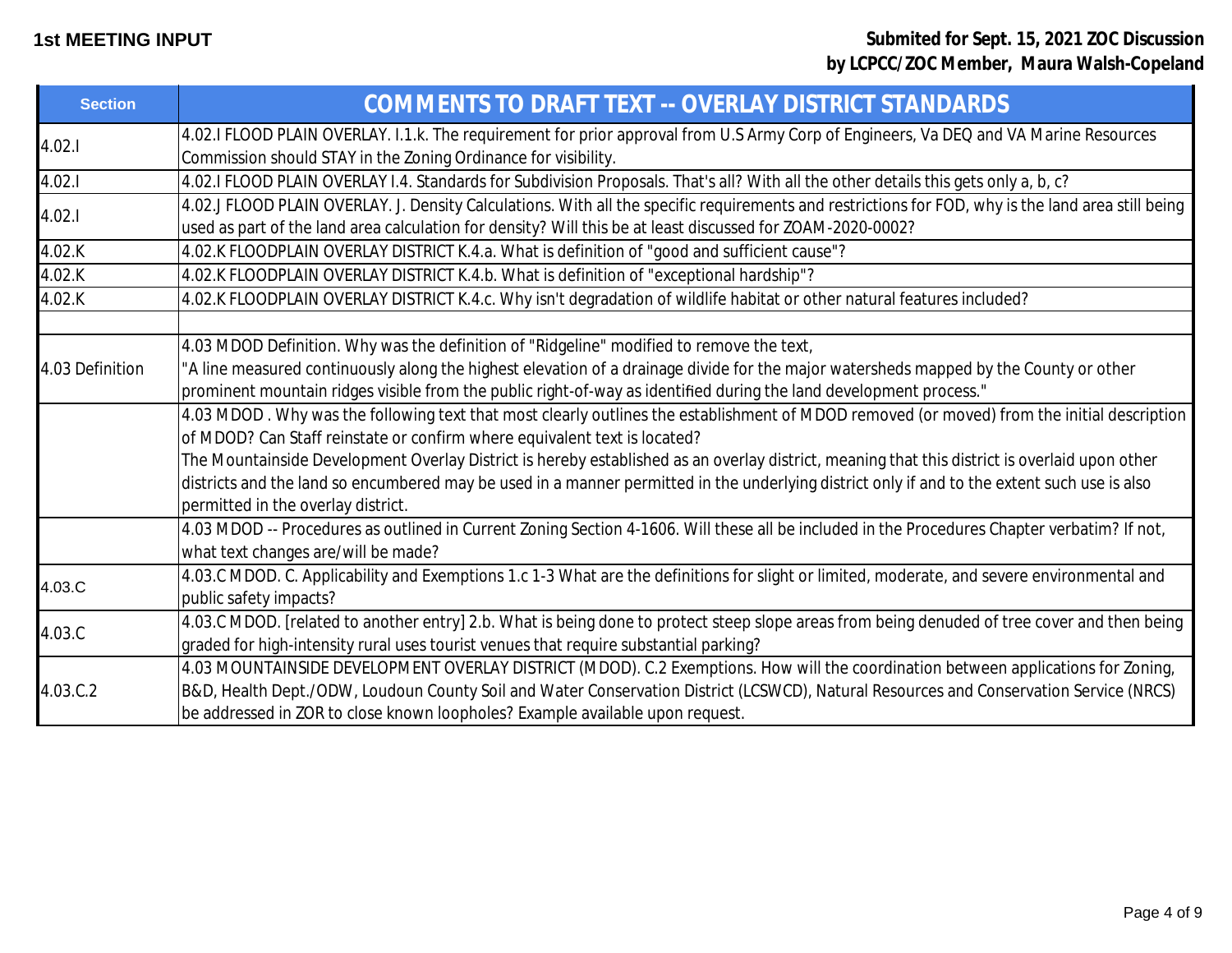| <b>Section</b>  | COMMENTS TO DRAFT TEXT -- OVERLAY DISTRICT STANDARDS                                                                                                                                                                                                                                                                                                                                                                                                                                                                                                           |
|-----------------|----------------------------------------------------------------------------------------------------------------------------------------------------------------------------------------------------------------------------------------------------------------------------------------------------------------------------------------------------------------------------------------------------------------------------------------------------------------------------------------------------------------------------------------------------------------|
| 4.02.1          | 4.02.I FLOOD PLAIN OVERLAY. I.1.k. The requirement for prior approval from U.S Army Corp of Engineers, Va DEQ and VA Marine Resources<br>Commission should STAY in the Zoning Ordinance for visibility.                                                                                                                                                                                                                                                                                                                                                        |
| 4.02.1          | 4.02.I FLOOD PLAIN OVERLAY I.4. Standards for Subdivision Proposals. That's all? With all the other details this gets only a, b, c?                                                                                                                                                                                                                                                                                                                                                                                                                            |
| 4.02.1          | 4.02.J FLOOD PLAIN OVERLAY. J. Density Calculations. With all the specific requirements and restrictions for FOD, why is the land area still being<br>used as part of the land area calculation for density? Will this be at least discussed for ZOAM-2020-0002?                                                                                                                                                                                                                                                                                               |
| 4.02.K          | 4.02.K FLOODPLAIN OVERLAY DISTRICT K.4.a. What is definition of "good and sufficient cause"?                                                                                                                                                                                                                                                                                                                                                                                                                                                                   |
| 4.02.K          | 4.02.K FLOODPLAIN OVERLAY DISTRICT K.4.b. What is definition of "exceptional hardship"?                                                                                                                                                                                                                                                                                                                                                                                                                                                                        |
| 4.02.K          | 4.02.K FLOODPLAIN OVERLAY DISTRICT K.4.c. Why isn't degradation of wildlife habitat or other natural features included?                                                                                                                                                                                                                                                                                                                                                                                                                                        |
| 4.03 Definition | 4.03 MDOD Definition. Why was the definition of "Ridgeline" modified to remove the text,<br>"A line measured continuously along the highest elevation of a drainage divide for the major watersheds mapped by the County or other<br>prominent mountain ridges visible from the public right-of-way as identified during the land development process."                                                                                                                                                                                                        |
|                 | 4.03 MDOD. Why was the following text that most clearly outlines the establishment of MDOD removed (or moved) from the initial description<br>of MDOD? Can Staff reinstate or confirm where equivalent text is located?<br>The Mountainside Development Overlay District is hereby established as an overlay district, meaning that this district is overlaid upon other<br>districts and the land so encumbered may be used in a manner permitted in the underlying district only if and to the extent such use is also<br>permitted in the overlay district. |
|                 | 4.03 MDOD -- Procedures as outlined in Current Zoning Section 4-1606. Will these all be included in the Procedures Chapter verbatim? If not,<br>what text changes are/will be made?                                                                                                                                                                                                                                                                                                                                                                            |
| 4.03.C          | 4.03.C MDOD. C. Applicability and Exemptions 1.c 1-3 What are the definitions for slight or limited, moderate, and severe environmental and<br>public safety impacts?                                                                                                                                                                                                                                                                                                                                                                                          |
| 4.03.C          | 4.03.C MDOD. [related to another entry] 2.b. What is being done to protect steep slope areas from being denuded of tree cover and then being<br>graded for high-intensity rural uses tourist venues that require substantial parking?                                                                                                                                                                                                                                                                                                                          |
| 4.03.C.2        | 4.03 MOUNTAINSIDE DEVELOPMENT OVERLAY DISTRICT (MDOD). C.2 Exemptions. How will the coordination between applications for Zoning,<br>B&D, Health Dept./ODW, Loudoun County Soil and Water Conservation District (LCSWCD), Natural Resources and Conservation Service (NRCS)<br>be addressed in ZOR to close known loopholes? Example available upon request.                                                                                                                                                                                                   |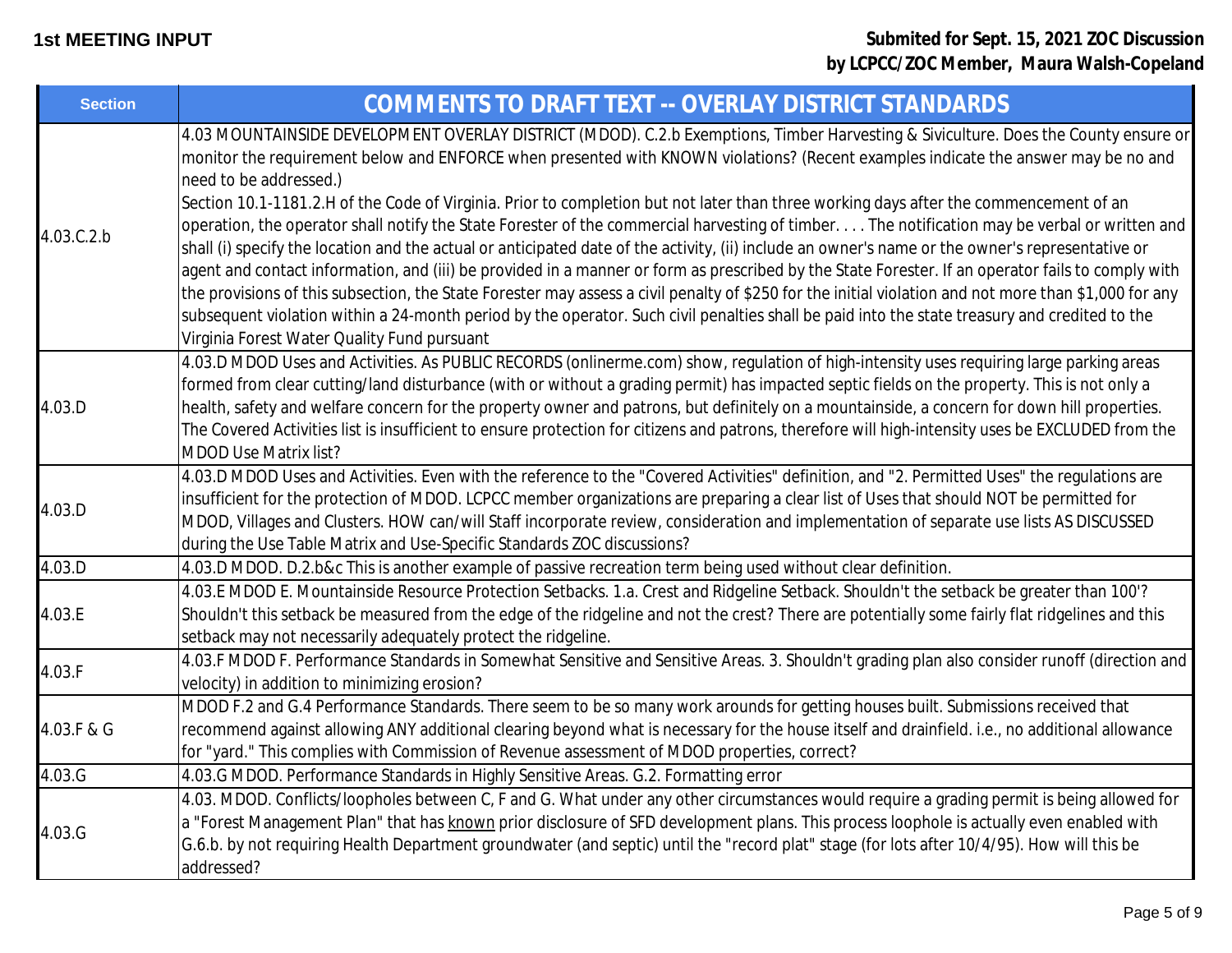| <b>Section</b> | COMMENTS TO DRAFT TEXT -- OVERLAY DISTRICT STANDARDS                                                                                                                                                                                                                                                                                                                                                                                                                                                                                                                                                                                                                                                                                                     |
|----------------|----------------------------------------------------------------------------------------------------------------------------------------------------------------------------------------------------------------------------------------------------------------------------------------------------------------------------------------------------------------------------------------------------------------------------------------------------------------------------------------------------------------------------------------------------------------------------------------------------------------------------------------------------------------------------------------------------------------------------------------------------------|
| 4.03.C.2.b     | 4.03 MOUNTAINSIDE DEVELOPMENT OVERLAY DISTRICT (MDOD). C.2.b Exemptions, Timber Harvesting & Siviculture. Does the County ensure or<br>monitor the requirement below and ENFORCE when presented with KNOWN violations? (Recent examples indicate the answer may be no and<br>need to be addressed.)                                                                                                                                                                                                                                                                                                                                                                                                                                                      |
|                | Section 10.1-1181.2.H of the Code of Virginia. Prior to completion but not later than three working days after the commencement of an<br>operation, the operator shall notify the State Forester of the commercial harvesting of timber. The notification may be verbal or written and<br>shall (i) specify the location and the actual or anticipated date of the activity, (ii) include an owner's name or the owner's representative or<br>agent and contact information, and (iii) be provided in a manner or form as prescribed by the State Forester. If an operator fails to comply with<br>the provisions of this subsection, the State Forester may assess a civil penalty of \$250 for the initial violation and not more than \$1,000 for any |
|                | subsequent violation within a 24-month period by the operator. Such civil penalties shall be paid into the state treasury and credited to the<br>Virginia Forest Water Quality Fund pursuant                                                                                                                                                                                                                                                                                                                                                                                                                                                                                                                                                             |
| 4.03.D         | 4.03.D MDOD Uses and Activities. As PUBLIC RECORDS (onlinerme.com) show, regulation of high-intensity uses requiring large parking areas<br>formed from clear cutting/land disturbance (with or without a grading permit) has impacted septic fields on the property. This is not only a<br>health, safety and welfare concern for the property owner and patrons, but definitely on a mountainside, a concern for down hill properties.<br>The Covered Activities list is insufficient to ensure protection for citizens and patrons, therefore will high-intensity uses be EXCLUDED from the<br><b>MDOD Use Matrix list?</b>                                                                                                                           |
| 4.03.D         | 4.03.D MDOD Uses and Activities. Even with the reference to the "Covered Activities" definition, and "2. Permitted Uses" the regulations are<br>insufficient for the protection of MDOD. LCPCC member organizations are preparing a clear list of Uses that should NOT be permitted for<br>MDOD, Villages and Clusters. HOW can/will Staff incorporate review, consideration and implementation of separate use lists AS DISCUSSED<br>during the Use Table Matrix and Use-Specific Standards ZOC discussions?                                                                                                                                                                                                                                            |
| 4.03.D         | 4.03.D MDOD. D.2.b&c This is another example of passive recreation term being used without clear definition.                                                                                                                                                                                                                                                                                                                                                                                                                                                                                                                                                                                                                                             |
| 4.03.E         | 4.03.E MDOD E. Mountainside Resource Protection Setbacks. 1.a. Crest and Ridgeline Setback. Shouldn't the setback be greater than 100'?<br>Shouldn't this setback be measured from the edge of the ridgeline and not the crest? There are potentially some fairly flat ridgelines and this<br>setback may not necessarily adequately protect the ridgeline.                                                                                                                                                                                                                                                                                                                                                                                              |
| 4.03.F         | 4.03.F MDOD F. Performance Standards in Somewhat Sensitive and Sensitive Areas. 3. Shouldn't grading plan also consider runoff (direction and<br>velocity) in addition to minimizing erosion?                                                                                                                                                                                                                                                                                                                                                                                                                                                                                                                                                            |
| 4.03.F & G     | MDOD F.2 and G.4 Performance Standards. There seem to be so many work arounds for getting houses built. Submissions received that<br>recommend against allowing ANY additional clearing beyond what is necessary for the house itself and drainfield. i.e., no additional allowance<br>for "yard." This complies with Commission of Revenue assessment of MDOD properties, correct?                                                                                                                                                                                                                                                                                                                                                                      |
| 4.03.G         | 4.03.G MDOD. Performance Standards in Highly Sensitive Areas. G.2. Formatting error                                                                                                                                                                                                                                                                                                                                                                                                                                                                                                                                                                                                                                                                      |
| 4.03.G         | 4.03. MDOD. Conflicts/loopholes between C, F and G. What under any other circumstances would require a grading permit is being allowed for<br>a "Forest Management Plan" that has known prior disclosure of SFD development plans. This process loophole is actually even enabled with<br>G.6.b. by not requiring Health Department groundwater (and septic) until the "record plat" stage (for lots after 10/4/95). How will this be<br>addressed?                                                                                                                                                                                                                                                                                                      |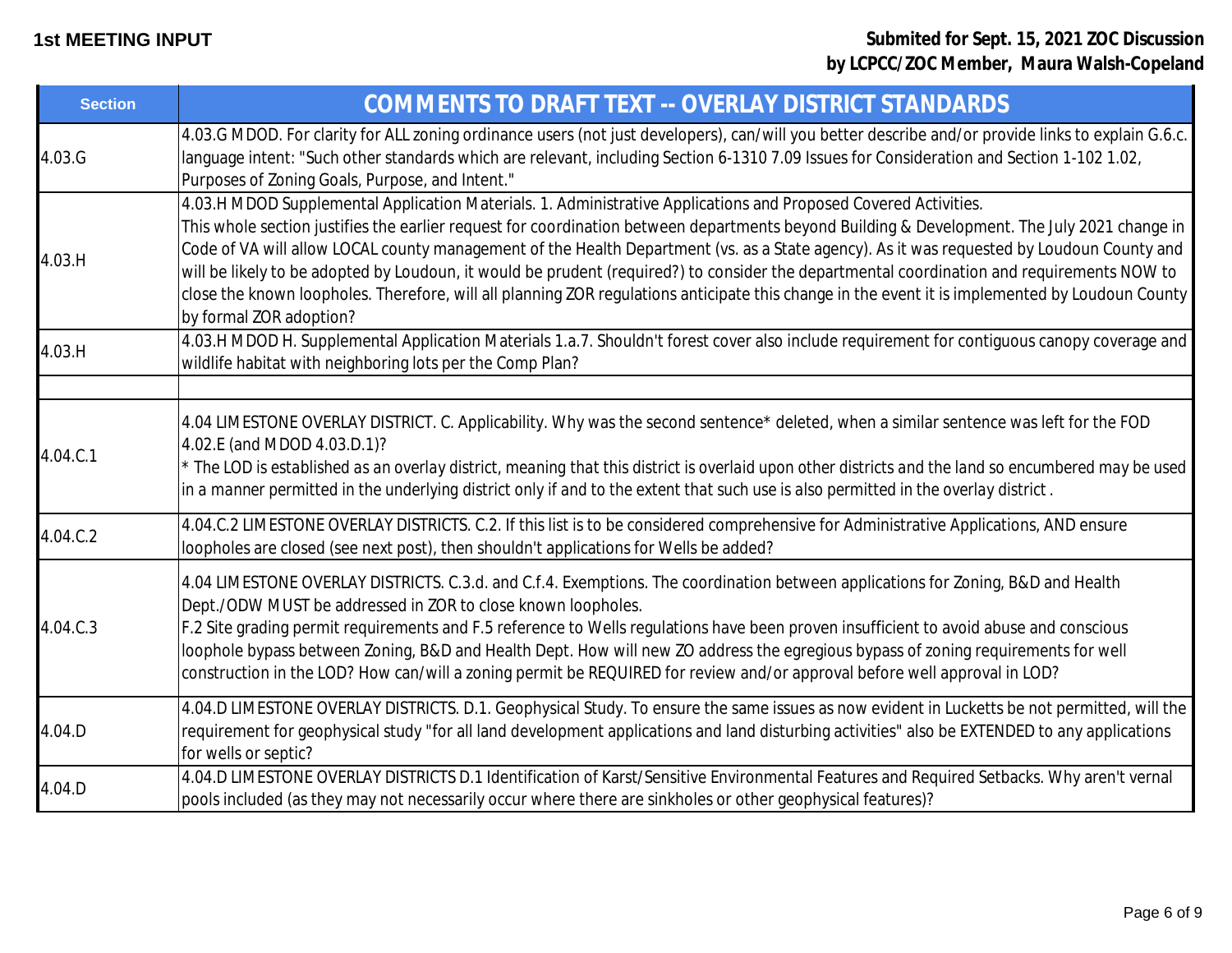| <b>Section</b> | COMMENTS TO DRAFT TEXT -- OVERLAY DISTRICT STANDARDS                                                                                                                                                                                                                                                                                                                                                                                                                                                                                                                                                                                                                                                                                     |
|----------------|------------------------------------------------------------------------------------------------------------------------------------------------------------------------------------------------------------------------------------------------------------------------------------------------------------------------------------------------------------------------------------------------------------------------------------------------------------------------------------------------------------------------------------------------------------------------------------------------------------------------------------------------------------------------------------------------------------------------------------------|
| 4.03.G         | 4.03.G MDOD. For clarity for ALL zoning ordinance users (not just developers), can/will you better describe and/or provide links to explain G.6.c.<br>language intent: "Such other standards which are relevant, including Section 6-1310 7.09 Issues for Consideration and Section 1-102 1.02,<br>Purposes of Zoning Goals, Purpose, and Intent."                                                                                                                                                                                                                                                                                                                                                                                       |
| 4.03.H         | 4.03.H MDOD Supplemental Application Materials. 1. Administrative Applications and Proposed Covered Activities.<br>This whole section justifies the earlier request for coordination between departments beyond Building & Development. The July 2021 change in<br>Code of VA will allow LOCAL county management of the Health Department (vs. as a State agency). As it was requested by Loudoun County and<br>will be likely to be adopted by Loudoun, it would be prudent (required?) to consider the departmental coordination and requirements NOW to<br>close the known loopholes. Therefore, will all planning ZOR regulations anticipate this change in the event it is implemented by Loudoun County<br>by formal ZOR adoption? |
| 4.03.H         | 4.03.H MDOD H. Supplemental Application Materials 1.a.7. Shouldn't forest cover also include requirement for contiguous canopy coverage and<br>wildlife habitat with neighboring lots per the Comp Plan?                                                                                                                                                                                                                                                                                                                                                                                                                                                                                                                                 |
| 4.04.C.1       | 4.04 LIMESTONE OVERLAY DISTRICT. C. Applicability. Why was the second sentence* deleted, when a similar sentence was left for the FOD<br>4.02.E (and MDOD 4.03.D.1)?<br>* The LOD is established as an overlay district, meaning that this district is overlaid upon other districts and the land so encumbered may be used<br>in a manner permitted in the underlying district only if and to the extent that such use is also permitted in the overlay district.                                                                                                                                                                                                                                                                       |
| 4.04.C.2       | 4.04.C.2 LIMESTONE OVERLAY DISTRICTS. C.2. If this list is to be considered comprehensive for Administrative Applications, AND ensure<br>loopholes are closed (see next post), then shouldn't applications for Wells be added?                                                                                                                                                                                                                                                                                                                                                                                                                                                                                                           |
| 4.04.C.3       | 4.04 LIMESTONE OVERLAY DISTRICTS. C.3.d. and C.f.4. Exemptions. The coordination between applications for Zoning, B&D and Health<br>Dept./ODW MUST be addressed in ZOR to close known loopholes.<br>F.2 Site grading permit requirements and F.5 reference to Wells regulations have been proven insufficient to avoid abuse and conscious<br>loophole bypass between Zoning, B&D and Health Dept. How will new ZO address the egregious bypass of zoning requirements for well<br>construction in the LOD? How can/will a zoning permit be REQUIRED for review and/or approval before well approval in LOD?                                                                                                                             |
| 4.04.D         | 4.04.D LIMESTONE OVERLAY DISTRICTS. D.1. Geophysical Study. To ensure the same issues as now evident in Lucketts be not permitted, will the<br>requirement for geophysical study "for all land development applications and land disturbing activities" also be EXTENDED to any applications<br>for wells or septic?                                                                                                                                                                                                                                                                                                                                                                                                                     |
| 4.04.D         | 4.04.D LIMESTONE OVERLAY DISTRICTS D.1 Identification of Karst/Sensitive Environmental Features and Required Setbacks. Why aren't vernal<br>pools included (as they may not necessarily occur where there are sinkholes or other geophysical features)?                                                                                                                                                                                                                                                                                                                                                                                                                                                                                  |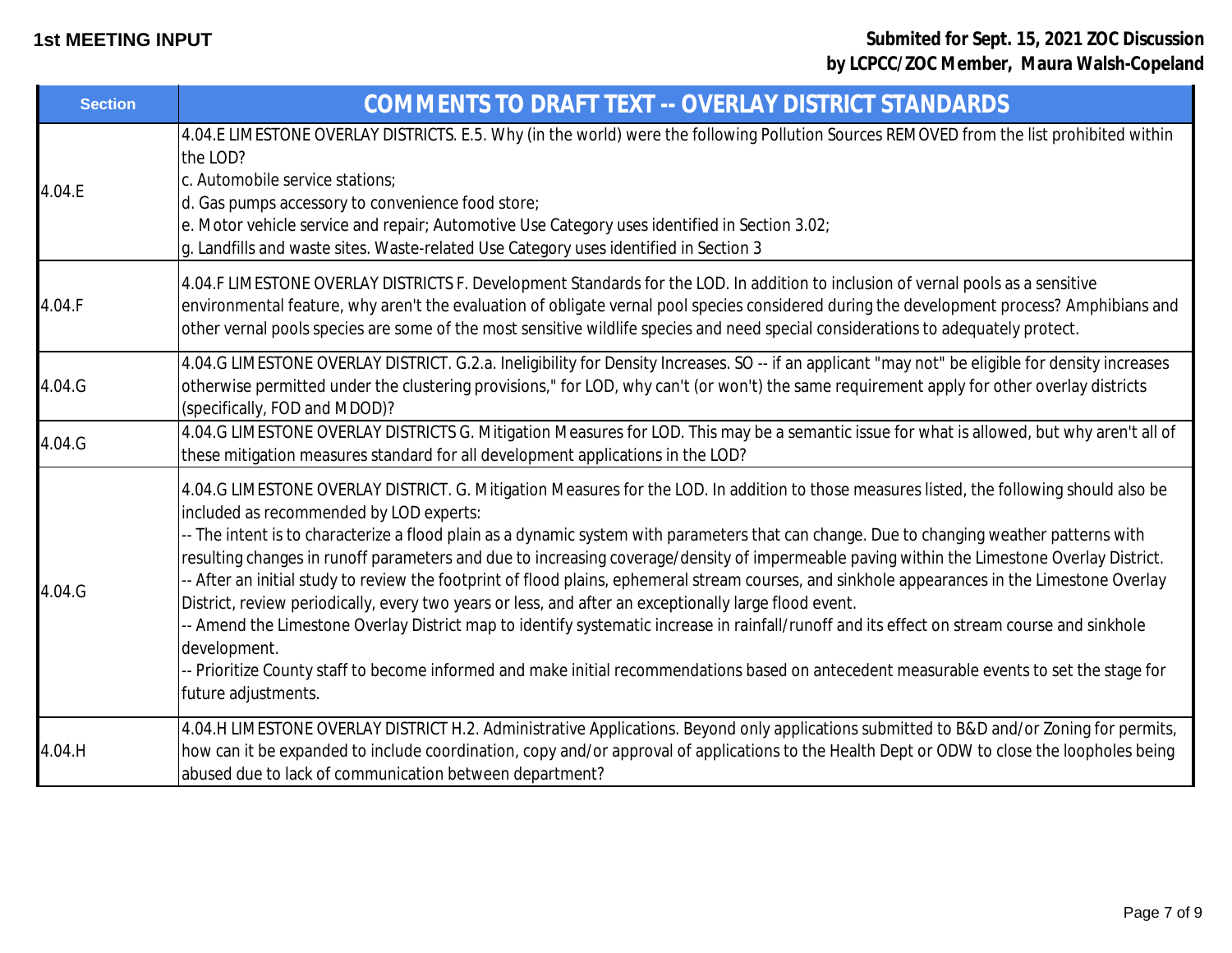| <b>Section</b> | COMMENTS TO DRAFT TEXT -- OVERLAY DISTRICT STANDARDS                                                                                                                                                                                                                                                                                                                                                                                                                                                                                                                                                                                                                                                                                                                                                                                                                                                                                                                                                                                                                         |
|----------------|------------------------------------------------------------------------------------------------------------------------------------------------------------------------------------------------------------------------------------------------------------------------------------------------------------------------------------------------------------------------------------------------------------------------------------------------------------------------------------------------------------------------------------------------------------------------------------------------------------------------------------------------------------------------------------------------------------------------------------------------------------------------------------------------------------------------------------------------------------------------------------------------------------------------------------------------------------------------------------------------------------------------------------------------------------------------------|
| 4.04.E         | 4.04.E LIMESTONE OVERLAY DISTRICTS. E.5. Why (in the world) were the following Pollution Sources REMOVED from the list prohibited within<br>the LOD?<br>c. Automobile service stations;<br>d. Gas pumps accessory to convenience food store;<br>e. Motor vehicle service and repair; Automotive Use Category uses identified in Section 3.02;<br>g. Landfills and waste sites. Waste-related Use Category uses identified in Section 3                                                                                                                                                                                                                                                                                                                                                                                                                                                                                                                                                                                                                                       |
| 4.04.F         | 4.04.F LIMESTONE OVERLAY DISTRICTS F. Development Standards for the LOD. In addition to inclusion of vernal pools as a sensitive<br>environmental feature, why aren't the evaluation of obligate vernal pool species considered during the development process? Amphibians and<br>other vernal pools species are some of the most sensitive wildlife species and need special considerations to adequately protect.                                                                                                                                                                                                                                                                                                                                                                                                                                                                                                                                                                                                                                                          |
| 4.04.G         | 4.04.G LIMESTONE OVERLAY DISTRICT. G.2.a. Ineligibility for Density Increases. SO -- if an applicant "may not" be eligible for density increases<br>otherwise permitted under the clustering provisions," for LOD, why can't (or won't) the same requirement apply for other overlay districts<br>(specifically, FOD and MDOD)?                                                                                                                                                                                                                                                                                                                                                                                                                                                                                                                                                                                                                                                                                                                                              |
| 4.04.G         | 4.04.G LIMESTONE OVERLAY DISTRICTS G. Mitigation Measures for LOD. This may be a semantic issue for what is allowed, but why aren't all of<br>these mitigation measures standard for all development applications in the LOD?                                                                                                                                                                                                                                                                                                                                                                                                                                                                                                                                                                                                                                                                                                                                                                                                                                                |
| 4.04.G         | 4.04.G LIMESTONE OVERLAY DISTRICT. G. Mitigation Measures for the LOD. In addition to those measures listed, the following should also be<br>included as recommended by LOD experts:<br>-- The intent is to characterize a flood plain as a dynamic system with parameters that can change. Due to changing weather patterns with<br>resulting changes in runoff parameters and due to increasing coverage/density of impermeable paving within the Limestone Overlay District.<br>-- After an initial study to review the footprint of flood plains, ephemeral stream courses, and sinkhole appearances in the Limestone Overlay<br>District, review periodically, every two years or less, and after an exceptionally large flood event.<br>- Amend the Limestone Overlay District map to identify systematic increase in rainfall/runoff and its effect on stream course and sinkhole<br>development.<br>-- Prioritize County staff to become informed and make initial recommendations based on antecedent measurable events to set the stage for<br>future adjustments. |
| 4.04.H         | 4.04.H LIMESTONE OVERLAY DISTRICT H.2. Administrative Applications. Beyond only applications submitted to B&D and/or Zoning for permits,<br>how can it be expanded to include coordination, copy and/or approval of applications to the Health Dept or ODW to close the loopholes being<br>abused due to lack of communication between department?                                                                                                                                                                                                                                                                                                                                                                                                                                                                                                                                                                                                                                                                                                                           |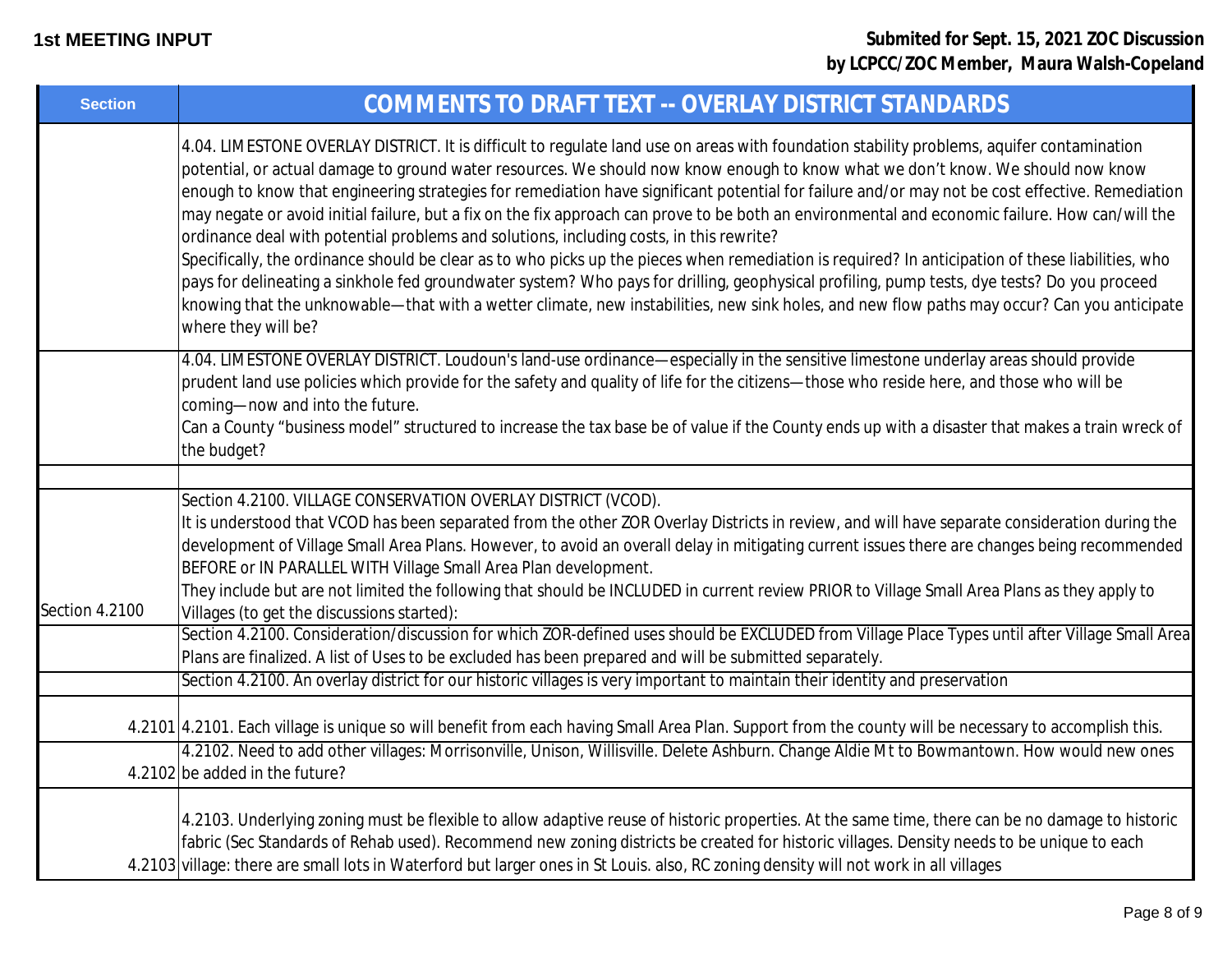| <b>Section</b> | COMMENTS TO DRAFT TEXT -- OVERLAY DISTRICT STANDARDS                                                                                                                                                                                                                                                                                                                                                                                                                                                                                                                                                                                                                                                                                                                                                                                                                                                                                                                                                                                                                                                                                                    |
|----------------|---------------------------------------------------------------------------------------------------------------------------------------------------------------------------------------------------------------------------------------------------------------------------------------------------------------------------------------------------------------------------------------------------------------------------------------------------------------------------------------------------------------------------------------------------------------------------------------------------------------------------------------------------------------------------------------------------------------------------------------------------------------------------------------------------------------------------------------------------------------------------------------------------------------------------------------------------------------------------------------------------------------------------------------------------------------------------------------------------------------------------------------------------------|
|                | 4.04. LIMESTONE OVERLAY DISTRICT. It is difficult to regulate land use on areas with foundation stability problems, aquifer contamination<br>potential, or actual damage to ground water resources. We should now know enough to know what we don't know. We should now know<br>enough to know that engineering strategies for remediation have significant potential for failure and/or may not be cost effective. Remediation<br>may negate or avoid initial failure, but a fix on the fix approach can prove to be both an environmental and economic failure. How can/will the<br>ordinance deal with potential problems and solutions, including costs, in this rewrite?<br>Specifically, the ordinance should be clear as to who picks up the pieces when remediation is required? In anticipation of these liabilities, who<br>pays for delineating a sinkhole fed groundwater system? Who pays for drilling, geophysical profiling, pump tests, dye tests? Do you proceed<br>knowing that the unknowable—that with a wetter climate, new instabilities, new sink holes, and new flow paths may occur? Can you anticipate<br>where they will be? |
|                | 4.04. LIMESTONE OVERLAY DISTRICT. Loudoun's land-use ordinance-especially in the sensitive limestone underlay areas should provide<br>prudent land use policies which provide for the safety and quality of life for the citizens-those who reside here, and those who will be<br>coming-now and into the future.<br>Can a County "business model" structured to increase the tax base be of value if the County ends up with a disaster that makes a train wreck of<br>the budget?                                                                                                                                                                                                                                                                                                                                                                                                                                                                                                                                                                                                                                                                     |
|                |                                                                                                                                                                                                                                                                                                                                                                                                                                                                                                                                                                                                                                                                                                                                                                                                                                                                                                                                                                                                                                                                                                                                                         |
| Section 4.2100 | Section 4.2100. VILLAGE CONSERVATION OVERLAY DISTRICT (VCOD).<br>It is understood that VCOD has been separated from the other ZOR Overlay Districts in review, and will have separate consideration during the<br>development of Village Small Area Plans. However, to avoid an overall delay in mitigating current issues there are changes being recommended<br>BEFORE or IN PARALLEL WITH Village Small Area Plan development.<br>They include but are not limited the following that should be INCLUDED in current review PRIOR to Village Small Area Plans as they apply to                                                                                                                                                                                                                                                                                                                                                                                                                                                                                                                                                                        |
|                | Villages (to get the discussions started):<br>Section 4.2100. Consideration/discussion for which ZOR-defined uses should be EXCLUDED from Village Place Types until after Village Small Area<br>Plans are finalized. A list of Uses to be excluded has been prepared and will be submitted separately.                                                                                                                                                                                                                                                                                                                                                                                                                                                                                                                                                                                                                                                                                                                                                                                                                                                  |
|                | Section 4.2100. An overlay district for our historic villages is very important to maintain their identity and preservation                                                                                                                                                                                                                                                                                                                                                                                                                                                                                                                                                                                                                                                                                                                                                                                                                                                                                                                                                                                                                             |
|                | 4.2101 4.2101. Each village is unique so will benefit from each having Small Area Plan. Support from the county will be necessary to accomplish this.                                                                                                                                                                                                                                                                                                                                                                                                                                                                                                                                                                                                                                                                                                                                                                                                                                                                                                                                                                                                   |
|                | 4.2102. Need to add other villages: Morrisonville, Unison, Willisville. Delete Ashburn. Change Aldie Mt to Bowmantown. How would new ones<br>4.2102 be added in the future?                                                                                                                                                                                                                                                                                                                                                                                                                                                                                                                                                                                                                                                                                                                                                                                                                                                                                                                                                                             |
|                | 4.2103. Underlying zoning must be flexible to allow adaptive reuse of historic properties. At the same time, there can be no damage to historic<br>fabric (Sec Standards of Rehab used). Recommend new zoning districts be created for historic villages. Density needs to be unique to each<br>4.2103 village: there are small lots in Waterford but larger ones in St Louis. also, RC zoning density will not work in all villages                                                                                                                                                                                                                                                                                                                                                                                                                                                                                                                                                                                                                                                                                                                    |